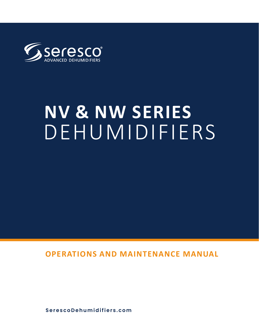

# DEHUMIDIFIERS **NV & NW SERIES**

**OPERATIONS AND MAINTENANCE MANUAL**

**SerescoDehumidifiers.com**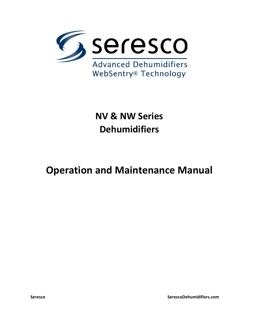

# **NV & NW Series Dehumidifiers**

# **Operation and Maintenance Manual**

**Seresco SerescoDehumidifiers.com**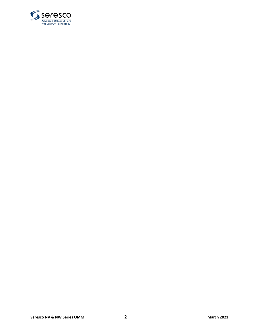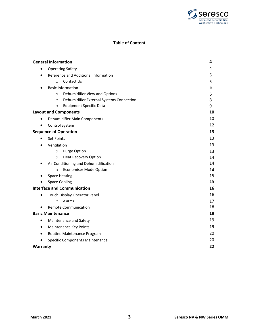

# **Table of Content**

| <b>General Information</b>                          | 4  |
|-----------------------------------------------------|----|
| <b>Operating Safety</b><br>$\bullet$                | 4  |
| Reference and Additional Information                | 5  |
| Contact Us<br>$\circ$                               | 5  |
| <b>Basic Information</b>                            | 6  |
| Dehumidifier View and Options<br>$\circ$            | 6  |
| Dehumidifier External Systems Connection<br>$\circ$ | 8  |
| <b>Equipment Specific Data</b><br>$\circ$           | 9  |
| <b>Layout and Components</b>                        | 10 |
| Dehumidifier Main Components                        | 10 |
| Control System<br>$\bullet$                         | 12 |
| <b>Sequence of Operation</b>                        | 13 |
| <b>Set Points</b>                                   | 13 |
| Ventilation                                         | 13 |
| Purge Option<br>$\circ$                             | 13 |
| <b>Heat Recovery Option</b><br>$\circ$              | 14 |
| Air Conditioning and Dehumidification               | 14 |
| <b>Economiser Mode Option</b><br>$\circ$            | 14 |
| <b>Space Heating</b>                                | 15 |
| <b>Space Cooling</b>                                | 15 |
| <b>Interface and Communication</b>                  | 16 |
| Touch Display Operator Panel<br>$\bullet$           | 16 |
| Alarms<br>$\Omega$                                  | 17 |
| <b>Remote Communication</b>                         | 18 |
| <b>Basic Maintenance</b>                            | 19 |
| Maintenance and Safety                              | 19 |
| Maintenance Key Points<br>٠                         | 19 |
| Routine Maintenance Program                         | 20 |
| Specific Components Maintenance                     | 20 |
| Warranty                                            | 22 |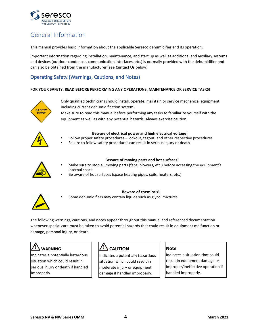

# General Information

This manual provides basic information about the applicable Seresco dehumidifier and its operation.

Important information regarding installation, maintenance, and start up as well as additional and auxiliary systems and devices (outdoor condenser, communication interfaces, etc.) is normally provided with the dehumidifier and can also be obtained from the manufacturer (see **Contact Us** below).

# Operating Safety (Warnings, Cautions, and Notes)

# **FOR YOUR SAFETY: READ BEFORE PERFORMING ANY OPERATIONS, MAINTENANCE OR SERVICE TASKS!**



Only qualified technicians should install, operate, maintain or service mechanical equipment including current dehumidification system.

Make sure to read this manual before performing any tasks to familiarize yourself with the equipment as well as with any potential hazards. Always exercise caution!



#### **Beware of electrical power and high electrical voltage!**

- Follow proper safety procedures lockout, tagout, and other respective procedures
- Failure to follow safety procedures can result in serious injury or death



# **Beware of moving parts and hot surfaces!**

- Make sure to stop all moving parts (fans, blowers, etc.) before accessing the equipment's internal space
- Be aware of hot surfaces (space heating pipes, coils, heaters, etc.)



#### **Beware of chemicals!**

Some dehumidifiers may contain liquids such as glycol mixtures

The following warnings, cautions, and notes appear throughout this manual and referenced documentation whenever special care must be taken to avoid potential hazards that could result in equipment malfunction or damage, personal injury, or death.



Indicates a potentially hazardous situation which could result in serious injury or death if handled improperly.



Indicates a potentially hazardous situation which could result in moderate injury or equipment damage if handled improperly.

# **Note**

Indicates a situation that could result in equipment damage or improper/ineffective operation if handled improperly.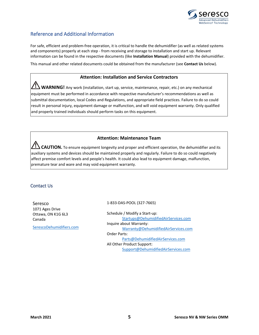

# Reference and Additional Information

For safe, efficient and problem-free operation, it is critical to handle the dehumidifier (as well as related systems and components) properly at each step - from receiving and storage to installation and start up. Relevant information can be found in the respective documents (like **Installation Manual**) provided with the dehumidifier.

This manual and other related documents could be obtained from the manufacturer (see **Contact Us** below).

# **Attention: Installation and Service Contractors**

**WARNING!** Any work (installation, start up, service, maintenance, repair, etc.) on any mechanical equipment must be performed in accordance with respective manufacturer's recommendations as well as submittal documentation, local Codes and Regulations, and appropriate field practices. Failure to do so could result in personal injury, equipment damage or malfunction, and will void equipment warranty. Only qualified and properly trained individuals should perform tasks on this equipment.

# **Attention: Maintenance Team**

**CAUTION.** To ensure equipment longevity and proper and efficient operation, the dehumidifier and its auxiliary systems and devices should be maintained properly and regularly. Failure to do so could negatively affect premise comfort levels and people's health. It could also lead to equipment damage, malfunction, premature tear and ware and may void equipment warranty.

# Contact Us

Seresco 1071 Ages Drive Ottawa, ON K1G 6L3 Canada

[SerescoDehumidifiers.com](http://serescodehumidifiers.com/)

1-833-DAS-POOL (327-7665)

Schedule / Modify a Start-up: [Startups@DehumidifiedAirServices.com](mailto:Startups@DehumidifiedAirServices.com) Inquire about Warranty: [Warranty@DehumidifiedAirServices.com](mailto:Warranty@DehumidifiedAirServices.com) Order Parts: [Parts@DehumidifiedAirServices.com](mailto:Parts@DehumidifiedAirServices.com) All Other Product Support: [Support@DehumidifiedAirServices.com](mailto:Support@DehumidifiedAirServices.com)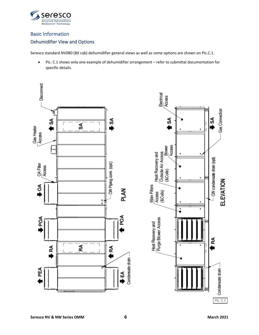

# Basic Information

# Dehumidifier View and Options

Seresco standard NV080 (BX cab) dehumidifier general views as well as some options are shown on Pic.C.1.

• Pic. C.1 shows only one example of dehumidifier arrangement – refer to submittal documentation for specific details.



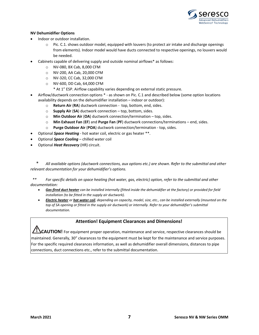

# **NV Dehumidifier Options**

- Indoor or outdoor installation.
	- $\circ$  Pic. C.1. shows outdoor model, equipped with louvers (to protect air intake and discharge openings from elements). Indoor model would have ducts connected to respective openings, no louvers would be needed.
- Cabinets capable of delivering supply and outside nominal airflows\* as follows:
	- o NV-080, BX Cab, 8,000 CFM
	- o NV-200, AA Cab, 20,000 CFM
	- o NV-320, CC Cab, 32,000 CFM
	- o NV-600, DD Cab, 64,000 CFM
		- \* At 1" ESP. Airflow capability varies depending on external static pressure.
- Airflow/ductwork connection options \* as shown on Pic. C.1 and described below (some option locations availability depends on the dehumidifier installation – indoor or outdoor):
	- o **Return Air** (**RA**) ductwork connection top, bottom, end, sides.
	- o **Supply Air** (**SA**) ductwork connection top, bottom, sides.
	- o **Min Outdoor Air** (**OA**) ductwork connection/termination top, sides.
	- o **Min Exhaust Fan** (**EF**) and **Purge Fan** (**PF**) ductwork connections/terminations end, sides.
	- o **Purge Outdoor Air** (**POA**) ductwork connection/termination top, sides.
- Optional *Space Heating* hot water coil, electric or gas heater \*\*.
- Optional *Space Cooling* chilled water coil
- Optional *Heat Recovery* (HR) circuit.

 \* *All available options (ductwork connections, aux options etc.) are shown. Refer to the submittal and other relevant documentation for your dehumidifier's options.*

 *\*\* For specific details on space heating (hot water, gas, electric) option, refer to the submittal and other documentation:*

- *Gas-fired duct heater can be installed internally (fitted inside the dehumidifier at the factory) or provided for field installation (to be fitted in the supply air ductwork).*
- *Electric heater or hot water coil, depending on capacity, model, size, etc., can be installed externally (mounted on the top of SA opening or fitted in the supply air ductwork) or internally. Refer to your dehumidifier's submittal documentation.*

# **Attention! Equipment Clearances and Dimensions!**

**CAUTION!** For equipment proper operation, maintenance and service, respective clearances should be maintained. Generally, 30" clearances to the equipment must be kept for the maintenance and service purposes. For the specific required clearances information, as well as dehumidifier overall dimensions, distances to pipe connections, duct connections etc., refer to the submittal documentation.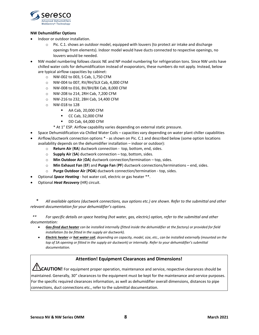

#### **NW Dehumidifier Options**

- Indoor or outdoor installation.
	- $\circ$  Pic. C.1. shows an outdoor model, equipped with louvers (to protect air intake and discharge openings from elements). Indoor model would have ducts connected to respective openings, no louvers would be needed.
- NW model numbering follows classic NE and NP model numbering for refrigeration tons. Since NW units have chilled water coils for dehumidification instead of evaporators, these numbers do not apply. Instead, below are typical airflow capacities by cabinet:
	- o NW-002 to 003, S Cab, 1,750 CFM
	- o NW-004 to 007, RV/RH/SLX Cab, 4,000 CFM
	- o NW-008 to 016, BV/BH/BX Cab, 8,000 CFM
	- o NW-208 to 214, 2RH Cab, 7,200 CFM
	- o NW-216 to 232, 2BH Cab, 14,400 CFM
	- o NW-018 to 128
		- AA Cab, 20,000 CFM
		- CC Cab, 32,000 CFM
		- **DD Cab, 64,000 CFM**
		- \* At 1" ESP. Airflow capability varies depending on external static pressure.
- Space Dehumidification via Chilled Water Coils capacities vary depending on water plant chiller capabilities
- Airflow/ductwork connection options \* as shown on Pic. C.1 and described below (some option locations availability depends on the dehumidifier installation – indoor or outdoor):
	- o **Return Air** (**RA**) ductwork connection top, bottom, end, sides.
	- o **Supply Air** (**SA**) ductwork connection top, bottom, sides.
	- o **Min Outdoor Air** (**OA**) ductwork connection/termination top, sides.
	- o **Min Exhaust Fan** (**EF**) and **Purge Fan** (**PF**) ductwork connections/terminations end, sides.
	- o **Purge Outdoor Air** (**POA**) ductwork connection/termination top, sides.
- Optional *Space Heating* hot water coil, electric or gas heater \*\*.
- Optional *Heat Recovery* (HR) circuit.

 \* *All available options (ductwork connections, aux options etc.) are shown. Refer to the submittal and other relevant documentation for your dehumidifier's options.*

 *\*\* For specific details on space heating (hot water, gas, electric) option, refer to the submittal and other documentation:*

- *Gas-fired duct heater can be installed internally (fitted inside the dehumidifier at the factory) or provided for field installation (to be fitted in the supply air ductwork).*
- *Electric heater or hot water coil, depending on capacity, model, size, etc., can be installed externally (mounted on the top of SA opening or fitted in the supply air ductwork) or internally. Refer to your dehumidifier's submittal documentation.*

# **Attention! Equipment Clearances and Dimensions!**

**CAUTION!** For equipment proper operation, maintenance and service, respective clearances should be maintained. Generally, 30" clearances to the equipment must be kept for the maintenance and service purposes. For the specific required clearances information, as well as dehumidifier overall dimensions, distances to pipe connections, duct connections etc., refer to the submittal documentation.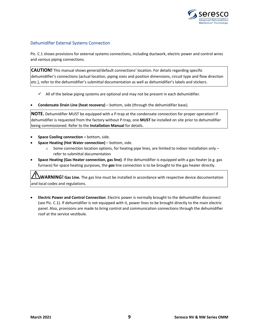

# Dehumidifier External Systems Connection

Pic. C.1 shows provisions for external systems connections, including ductwork, electric power and control wires and various piping connections.

**CAUTION!** This manual shows general/default connections' location. For details regarding specific dehumidifier's connections (actual location, piping sizes and position dimensions, circuit type and flow direction etc.), refer to the dehumidifier's submittal documentation as well as dehumidifier's labels and stickers.

- $\checkmark$  All of the below piping systems are optional and may not be present in each dehumidifier.
- **Condensate Drain Line (heat recovery)** bottom, side (through the dehumidifier base).

**NOTE.** Dehumidifier MUST be equipped with a P-trap at the condensate connection for proper operation! If dehumidifier is requested from the factory without P-trap, one **MUST** be installed on site prior to dehumidifier being commissioned. Refer to the **Installation Manual** for details.

- **Space Cooling connection –** bottom, side.
- **Space Heating (Hot Water connection)** bottom, side.
	- $\circ$  Some connection location options, for heating pipe lines, are limited to indoor installation only refer to submittal documentation
- **Space Heating (Gas Heater connection, gas line)**. If the dehumidifier is equipped with a gas heater (e.g. gas furnace) for space heating purposes, the *gas* line connection is to be brought to the gas heater directly.

**WARNING! Gas Line.** The gas line must be installed in accordance with respective device documentation and local codes and regulations.

• **Electric Power and Control Connection**. Electric power is normally brought to the dehumidifier disconnect (see Pic. C.1). If dehumidifier is not equipped with it, power lines to be brought directly to the main electric panel. Also, provisions are made to bring control and communication connections through the dehumidifier roof at the service vestibule.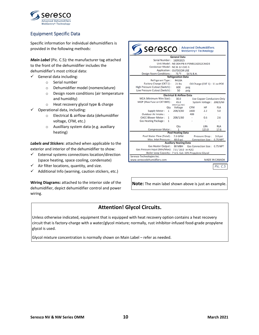

# Equipment Specific Data

Specific information for individual dehumidifiers is provided in the following methods:

*Main Label* (Pic. C.5)*:* the manufacturer tag attached to the front of the dehumidifier includes the dehumidifier's most critical data:

- $\checkmark$  General data including:
	- o Serial number
	- o Dehumidifier model (nomenclature)
	- o Design room conditions (air temperature and humidity)
	- o Heat recovery glycol type & charge
- $\checkmark$  Operational data, including:
	- o Electrical & airflow data (dehumidifier voltage, CFM, etc.)
	- o Auxilliary system data (e.g. auxiliary heating)

*Labels and Stickers*: attached when applicable to the exterior and interior of the dehumidifier to show:

- $\checkmark$  External systems connections location/direction (space heating, space cooling, condensate)
- $\checkmark$  Air filter locations, quantity, and size.
- $\checkmark$  Additional Info (warning, caution stickers, etc.)

**Wiring Diagrams:** attached to the interior side of the dehumidifier, depict dehumidifier control and power wiring.

| Seresco   Advanced Dehumidifiers                        |              |                                      |                                         |                                   |                       |
|---------------------------------------------------------|--------------|--------------------------------------|-----------------------------------------|-----------------------------------|-----------------------|
|                                                         |              | <b>General Data</b>                  |                                         |                                   |                       |
| Serial Number: 16091815                                 |              |                                      |                                         |                                   |                       |
|                                                         |              |                                      | Unit Model: NE-004-PB-X-P3NB1162G2C4AD3 |                                   |                       |
| Condenser Model: NC-B-1V-CUC-S                          |              |                                      |                                         |                                   |                       |
|                                                         |              | Application: OUTDOOR USE             |                                         |                                   |                       |
| <b>Design Room Conditions:</b>                          |              | 75 °F                                | 54 % R.H.                               |                                   |                       |
| <b>Refrigerant Type:</b>                                |              | <b>Refrigeration Data</b>            |                                         |                                   |                       |
| Factory Charge (CKT 1):                                 |              | <b>R410A</b><br>$21$ lbs             |                                         | Oil Charge (CKT 1) : 11 oz POE    |                       |
| High Pressure Cutout (Switch):                          |              | 600                                  | psig                                    |                                   |                       |
| Low Pressure Cutout (Switch) :                          |              | 50                                   | psig                                    |                                   |                       |
|                                                         |              |                                      |                                         |                                   |                       |
|                                                         |              | <b>Electrical &amp; Airflow Data</b> |                                         |                                   |                       |
| MCA (Minimum Wire Size):                                |              | 30.0                                 |                                         | <b>Use Copper Conductors Only</b> |                       |
| MOP (Max Fuse or CKT BKR):                              |              | 45.0<br>(HACR type NEC)              |                                         | System Voltage: 208/3/60          |                       |
|                                                         | Qty          | Voltage                              | <b>CFM</b>                              | <b>HP</b>                         | <b>FLA</b>            |
| Supply Motor:                                           | $\mathbf{1}$ | 208/3/60                             | 1600                                    | 2.2                               | 5.0                   |
| Outdoor Air Intake:                                     |              |                                      | 400                                     | ٠                                 |                       |
| <b>OACC Blower Motor:</b>                               | 1            | 208/1/60                             |                                         | 0.6                               | 2.6                   |
| <b>Gas Heating Package:</b>                             | 1            |                                      |                                         |                                   |                       |
|                                                         |              |                                      |                                         | LRA                               | <b>RLA</b>            |
| <b>Compressor Motor:</b>                                |              | Qtv<br>1                             |                                         | 123.0                             | 17.6                  |
|                                                         |              | <b>Pool Heating Data</b>             |                                         |                                   |                       |
| Pool Water Flow (Total):                                |              | 7.0 GPM                              |                                         | Pressure Drop:                    | $3.0$ psi             |
| Max. Inlet Pressure: 60.0 psi                           |              |                                      |                                         | <b>Connection Size:</b>           | <b>0.75 NPT</b>       |
| <b>Auxiliary Heating Data</b>                           |              |                                      |                                         |                                   |                       |
| Gas Heater Output: 80 MBH                               |              |                                      |                                         | Gas Connection Size: 0.75 NPT     |                       |
| Gas Pressure Input (Min/Max): 7.0 / 14.0 in-H2O         |              |                                      |                                         |                                   |                       |
| Boiler Loop Capacity : 7 U.S. Gal. 33% Propylene Glycol |              |                                      |                                         |                                   |                       |
| Seresco Technologies Inc.                               |              |                                      |                                         |                                   |                       |
| www.serescodehumidfiers.com                             |              |                                      |                                         |                                   | <b>MADE IN CANADA</b> |
|                                                         |              |                                      |                                         |                                   |                       |
|                                                         |              |                                      |                                         |                                   | Pic. C.5              |

**Note:** The main label shown above is just an example.

# **Attention! Glycol Circuits.**

Unless otherwise indicated, equipment that is equipped with heat recovery option contains a heat recovery circuit that is factory-charge with a water/glycol mixture; normally, rust inhibitor-infused food-grade propylene glycol is used.

Glycol mixture concentration is normally shown on Main Label – refer as needed.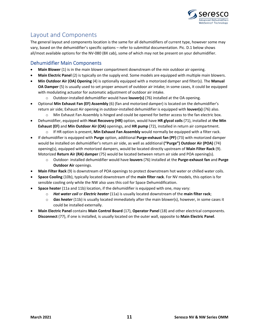

# Layout and Components

The general layout and components location is the same for all dehumidifiers of current type, however some may vary, based on the dehumidifier's specific options – refer to submittal documentation. Pic. D.1 below shows all/most available options for the NV-080 (BX cab), some of which may not be present on your dehumidifier.

# Dehumidifier Main Components

- **Main Blower** (1) is in the main blower compartment downstream of the min outdoor air opening.
- **Main Electric Panel** (2) is typically on the supply end. Some models are equipped with multiple main blowers.
- **Min Outdoor Air (OA) Opening** (4) is optionally equipped with a motorized damper and filter(s). The **Manual OA Damper** (5) is usually used to set proper amount of outdoor air intake; in some cases, it could be equipped with modulating actuator for automatic adjustment of outdoor air intake.
	- o Outdoor-installed dehumidifier would have **louver(s)** (76) installed at the OA opening.
- Optional **Min Exhaust Fan (EF) Assembly** (6) (fan and motorized damper) is located on the dehumidifier's return air side; Exhaust Air opening in outdoor-installed dehumidifier is equipped with **louver(s)** (76) also.
	- Min Exhaust Fan Assembly is hinged and could be opened for better access to the fan electric box.
- Dehumidifier, equipped with **Heat Recovery (HR)** option, would have **HR glycol coils** (71), installed at **the Min Exhaust (EF)** and **Min Outdoor Air (OA)** openings, and **HR pump** (72), installed in return air compartment.
	- o If HR option is present, **Min Exhaust Fan Assembly** would normally be equipped with a filter rack.
- If dehumidifier is equipped with **Purge** option, additional **Purge-exhaust fan (PF)** (73) with motorized damper would be installed on dehumidifier's return air side, as well as additional **("Purge") Outdoor Air (POA)** (74) opening(s), equipped with motorized dampers, would be located directly upstream of **Main Filter Rack** (9). Motorized **Return Air (RA) damper** (75) would be located between return air side and POA opening(s).
	- o Outdoor- installed dehumidifier would have **louvers** (76) installed at the **Purge-exhaust fan** and **Purge Outdoor Air** openings.
- **Main Filter Rack** (9) is downstream of POA openings to protect downstream hot water or chilled water coils.
- **Space Cooling** (10b), typically located downstream of the **main filter rack**. For NV models, this option is for sensible cooling only while the NW also uses this coil for Space Dehumidification.
- **Space heater** (11a and 11b) location, if the dehumidifier is equipped with one, may vary:
	- o *Hot water coil* or *Electric heater* (11a) is usually located downstream of the **main filter rack**;
	- o *Gas heater* (11b) is usually located immediately after the main blower(s), however, in some cases it could be installed externally.
- **Main Electric Panel** contains **Main Control Board** (17), **Operator Panel** (18) and other electrical components. **Disconnect** (77), if one is installed, is usually located on the outer wall, opposite to **Main Electric Panel**.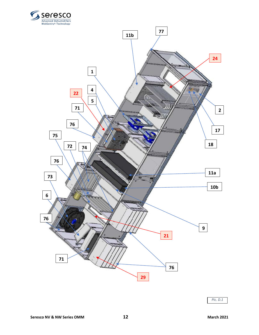



*Pic. D.1*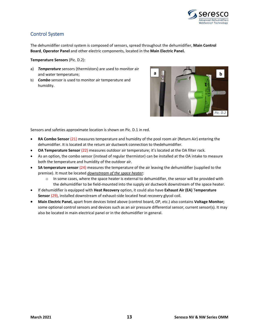

# Control System

The dehumidifier control system is composed of sensors, spread throughout the dehumidifier, **Main Control Board**, **Operator Panel** and other electric components, located in the **Main Electric Panel.**

**Temperature Sensors** (Pic. D.2):

- a) *Temperature* sensors (thermistors) are used to monitor air and water temperature;
- b) *Combo* sensor is used to monitor air temperature and humidity.



Sensors and safeties approximate location is shown on Pic. D.1 in red.

- **RA Combo Sensor** (21) measures temperature and humidity of the pool room air (Return Air) entering the dehumidifier. It is located at the return air ductwork connection to thedehumidifier.
- **OA Temperature Sensor** (22) measures outdoor air temperature; it's located at the OA filter rack.
- As an option, the combo sensor (instead of regular thermistor) can be installed at the OA intake to measure both the temperature and humidity of the outdoor air.
- **SA temperature sensor** (24) measures the temperature of the air leaving the dehumidifier (supplied to the premise). It must be located *downstream of the space heater*:
	- $\circ$  In some cases, where the space heater is external to dehumidifier, the sensor will be provided with the dehumidifier to be field-mounted into the supply air ductwork downstream of the space heater.
- If dehumidifier is equipped with **Heat Recovery** option, it could also have **Exhaust Air (EA)** T**emperature Sensor** (29), installed downstream of exhaust-side located heat recovery glycol coil.
- **Main Electric Panel,** apart from devices listed above (control board, OP, etc.) also contains **Voltage Monitor;** some optional control sensors and devices such as an air pressure differential sensor, current sensor(s). It may also be located in main electrical panel or in the dehumidifier in general.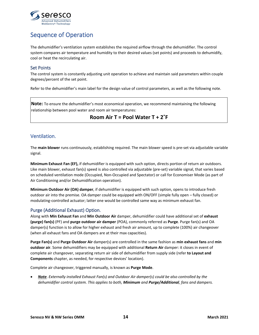

# Sequence of Operation

The dehumidifier's ventilation system establishes the required airflow through the dehumidifier. The control system compares air temperature and humidity to their desired values (set points) and proceeds to dehumidify, cool or heat the recirculating air.

# Set Points

The control system is constantly adjusting unit operation to achieve and maintain said parameters within couple degrees/percent of the set point.

Refer to the dehumidifier's main label for the design value of control parameters, as well as the following note.

**Note:** To ensure the dehumidifier's most economical operation, we recommend maintaining the following relationship between pool water and room air temperatures:

# **Room Air T = Pool Water T + 2˚F**

# Ventilation.

The **main blower** runs continuously, establishing required. The main blower speed is pre-set via adjustable variable signal.

**Minimum Exhaust Fan (EF),** if dehumidifier is equipped with such option, directs portion of return air outdoors. Like main blower, exhaust fan(s) speed is also controlled via adjustable (pre-set) variable signal, that varies based on scheduled ventilation mode (Occupied, Non-Occupied and Spectator) or call for Economiser Mode (as part of Air Conditioning and/or Dehumidification operation).

**Minimum Outdoor Air (OA) damper**, if dehumidifier is equipped with such option, opens to introduce fresh outdoor air into the premise. OA damper could be equipped with ON/OFF (simple fully open – fully closed) or modulating-controlled actuator; latter one would be controlled same way as minimum exhaust fan.

# Purge (Additional Exhaust) Option.

Along with **Min Exhaust Fan** and **Min Outdoor Air** damper, dehumidifier could have additional set of **exhaust (purge) fan(s)** (PF) and **purge outdoor air damper** (POA), commonly referred as **Purge**. Purge fan(s) and OA damper(s) function is to allow for higher exhaust and fresh air amount, up to complete (100%) air changeover (when all exhaust fans and OA dampers are at their max capacities).

**Purge Fan(s)** and **Purge Outdoor Air** damper(s) are controlled in the same fashion as **min exhaust fans** and **min outdoor air**. Some dehumidifiers may be equipped with additional **Return Air** damper: it closes in event of complete air changeover, separating return air side of dehumidifier from supply side (refer **to Layout and Components** chapter, as needed, for respective devices' location).

Complete air changeover, triggered manually, is known as **Purge Mode**.

• *Note*. *Externally installed Exhaust Fan(s) and Outdoor Air damper(s) could be also controlled by the dehumidifier control system. This applies to both, Minimum and Purge/Additional, fans and dampers.*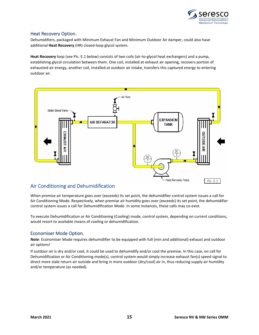

# Heat Recovery Option.

Dehumidifiers, packaged with Minimum Exhaust Fan and Minimum Outdoor Air damper, could also have additional **Heat Recovery** (HR) closed-loop glycol system.

**Heat Recovery** loop (see Pic. E.1 below) consists of two coils (air-to-glycol heat exchangers) and a pump, establishing glycol circulation between them. One coil, installed at exhaust air opening, recovers portion of exhausted air energy, another coil, installed at outdoor air intake, transfers this captured energy to entering outdoor air.



# Air Conditioning and Dehumidification

When premise air temperature goes over (exceeds) its set point, the dehumidifier control system issues a call for Air Conditioning Mode. Respectively, when premise air humidity goes over (exceeds) its set point, the dehumidifier control system issues a call for Dehumidification Mode. In some instances, these calls may co-exist.

To execute Dehumidification or Air Conditioning (Cooling) mode, control system, depending on current conditions, would resort to available means of cooling or dehumidification.

# Economiser Mode Option.

*Note*: Economiser Mode requires dehumidifier to be equipped with full (min and additional) exhaust and outdoor air options!

If outdoor air is dry and/or cool, it could be used to dehumidify and/or cool the premise. In this case, on call for Dehumidification or Air Conditioning mode(s), control system would simply increase exhaust fan(s) speed signal to direct more stale return air outside and bring in more outdoor (dry/cool) air in, thus reducing supply air humidity and/or temperature (as needed).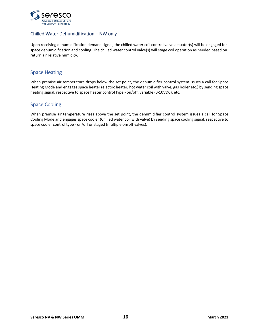

# Chilled Water Dehumidification – NW only

Upon receiving dehumidification demand signal, the chilled water coil control valve actuator(s) will be engaged for space dehumidification and cooling. The chilled water control valve(s) will stage coil operation as needed based on return air relative humidity.

# Space Heating

When premise air temperature drops below the set point, the dehumidifier control system issues a call for Space Heating Mode and engages space heater (electric heater, hot water coil with valve, gas boiler etc.) by sending space heating signal, respective to space heater control type - on/off, variable (0-10VDC), etc.

# Space Cooling

When premise air temperature rises above the set point, the dehumidifier control system issues a call for Space Cooling Mode and engages space cooler (Chilled water coil with valve) by sending space cooling signal, respective to space cooler control type - on/off or staged (multiple on/off valves).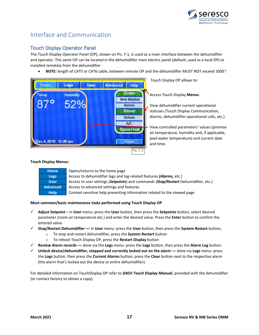

# Interface and Communication

# Touch Display Operator Panel

The Touch Display Operator Panel (OP), shown on Pic. F.1, is used as a main interface between the dehumidifier and operator. The same OP can be located in the dehumidifier main electric panel (default; used as a local OP) or installed remotely from the dehumidifier

• **NOTE:** length of CAT5 or CAT6 cable, between remote OP and the dehumidifier MUST NOT exceed 1000'!



# **Touch Display Menus:**

| <b>Home</b>     |
|-----------------|
| Logs            |
| User            |
| <b>Advanced</b> |
| <b>Help</b>     |

**Home** Opens/returns to the home page **Logs** Access to dehumidifier logs and log-related features *(Alarms,* etc.) **User** Access to user settings (*Setpoints*) and commands (*Stop/Restart* Dehumidifier, etc.) Access to advanced settings and features Context sensitive help presenting information related to the viewed page

# **Most common/basic maintenance tasks performed using Touch Display OP**

- **Adjust Setpoint –** in **User** menu: press the **User** button, then press the **Setpoints** button; select desired parameter (room air temperature etc.) and enter the desired value. Press the **Enter** button to confirm the entered value.
- **Stop/Restart Dehumidifier ––** in **User** menu: press the **User** button, then press the **System Restart** button;
	- o To stop and restart dehumidifier, press the **System Restart** button
	- o To reboot Touch Display OP, press the **Restart Display** button
- **Review Alarm records ––** done via the **Logs** menu: press the **Logs** button, then press the **Alarm Log** button.
- **Unlock device/dehumidifier, stopped and currently locked out on the alarm ––** done via **Logs** menu: press the **Logs** button, then press the **Current Alarms** button; press the **Clear** button next to the respective alarm (the alarm that's locked out the device or entire dehumidifier).

For detailed information on TouchDisplay OP refer to *DASV Touch Display Manual*, provided with the dehumidifier (or contact factory to obtain a copy).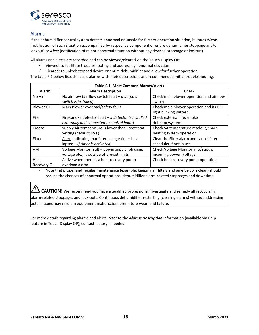

# Alarms

If the dehumidifier control system detects abnormal or unsafe for further operation situation, it issues A*larm* (notification of such situation accompanied by respective component or entire dehumidifier stoppage and/or lockout) or *Alert* (notification of minor abnormal situation without any devices' stoppage or lockout).

All alarms and alerts are recorded and can be viewed/cleared via the Touch Display OP:

- $\checkmark$  Viewed: to facilitate troubleshooting and addressing abnormal situation
- $\checkmark$  Cleared: to unlock stopped device or entire dehumidifier and allow for further operation

The table F.1 below lists the basic alarms with their descriptions and recommended initial troubleshooting.

| <b>Table F.1. Most Common Alarms/Alerts</b> |                                                        |                                          |  |
|---------------------------------------------|--------------------------------------------------------|------------------------------------------|--|
| Alarm                                       | <b>Alarm Description</b>                               | <b>Check</b>                             |  |
| No Air                                      | No air flow (air flow switch fault $-$ if air flow     | Check main blower operation and air flow |  |
|                                             | switch is installed)                                   | switch                                   |  |
| <b>Blower OL</b>                            | Main Blower overload/safety fault                      | Check main blower operation and its LED  |  |
|                                             |                                                        | light blinking pattern.                  |  |
| Fire                                        | Fire/smoke detector fault $-$ if detector is installed | Check external fire/smoke                |  |
|                                             | externally and connected to control board              | detector/system                          |  |
| Freeze                                      | Supply Air temperature is lower than Freezestat        | Check SA temperature readout, space      |  |
|                                             | Setting (default: 45 F)                                | heating system operation                 |  |
| Filter                                      | Alert, indicating that filter change timer has         | Clear the Filter alarm and cancel filter |  |
|                                             | lapsed $-$ if timer is activated                       | scheduler if not in use.                 |  |
| VM                                          | Voltage Monitor fault - power supply (phasing,         | Check Voltage Monitor info/status,       |  |
|                                             | voltage etc.) is outside of pre-set limits             | incoming power (voltage)                 |  |
| Heat                                        | Active when there is a heat recovery pump              | Check heat recovery pump operation       |  |
| Recovery OL                                 | overload alarm                                         |                                          |  |

 $\checkmark$  Note that proper and regular maintenance (example: keeping air filters and air-side coils clean) should reduce the chances of abnormal operations, dehumidifier alarm-related stoppages and downtime.

**CAUTION!** We recommend you have a qualified professional investigate and remedy all reoccurring alarm-related stoppages and lock-outs. Continuous dehumidifier restarting (clearing alarms) without addressing actual issues may result in equipment malfunction, premature wear, and failure.

For more details regarding alarms and alerts, refer to the *Alarms Description* information (available via Help feature in Touch Display OP); contact factory if needed.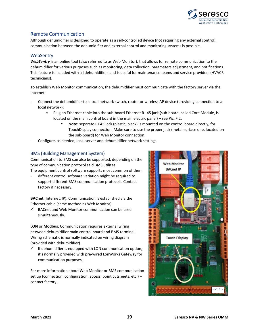

# Remote Communication

Although dehumidifier is designed to operate as a self-controlled device (not requiring any external control), communication between the dehumidifier and external control and monitoring systems is possible.

# **WebSentry**

*WebSentry* is an online tool (also referred to as Web Monitor), that allows for remote communication to the dehumidifier for various purposes such as monitoring, data collection, parameters adjustment, and notifications. This feature is included with all dehumidifiers and is useful for maintenance teams and service providers (HVACR technicians).

To establish Web Monitor communication, the dehumidifier must communicate with the factory server via the Internet:

- Connect the dehumidifier to a local network switch, router or wireless AP device (providing connection to a local network):
	- o Plug an Ethernet cable into the sub-board Ethernet RJ-45 jack (sub-board, called Core Module, is located on the main control board in the main electric panel) – see Pic. F.2.
		- **Note**: separate RJ-45 jack (plastic, black) is mounted on the control board directly, for TouchDisplay connection. Make sure to use the proper jack (metal-surface one, located on the sub-board) for Web Monitor connection.
- Configure, as needed, local server and dehumidifier network settings.

# BMS (Building Management System)

Communication to BMS can also be supported, depending on the type of communication protocol said BMS utilizes. The equipment control software supports most common of them

different control software variation might be required to support different BMS communication protocols. Contact factory if necessary.

**BACnet** (Internet, IP). Communication is established via the Ethernet cable (same method as Web Monitor).

 BACnet and Web Monitor communication can be used simultaneously.

**LON** or **Modbus**. Communication requires external wiring between dehumidifier main control board and BMS terminal. Wiring schematic is normally indicated on wiring diagram (provided with dehumidifier).

 $\checkmark$  If dehumidifier is equipped with LON communication option, it's normally provided with pre-wired LonWorks Gateway for communication purposes.

For more information about Web Monitor or BMS communication set up (connection, configuration, access, point cutsheets, etc.) – contact factory**.**

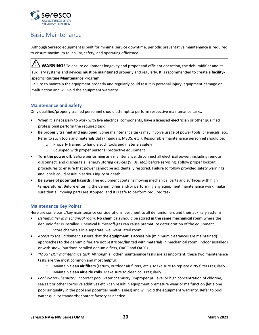

# Basic Maintenance

Although Seresco equipment is built for minimal service downtime, periodic preventative maintenance is required to ensure maximum reliability, safety, and operating efficiency.

**WARNING!** To ensure equipment longevity and proper and efficient operation, the dehumidifier and its auxiliary systems and devices **must** be **maintained** properly and regularly. It is recommended to create a **facilityspecific Routine Maintenance Program**.

Failure to maintain the equipment properly and regularly could result in personal injury, equipment damage or malfunction and will void the equipment warranty.

# **Maintenance and Safety**

Only qualified/properly trained personnel should attempt to perform respective maintenance tasks.

- When it is necessary to work with live electrical components, have a licensed electrician or other qualified professional perform the required task.
- **Be properly trained and equipped.** Some maintenance tasks may involve usage of power tools, chemicals, etc. Refer to such tools and materials data (manuals, MSDS, etc.). Responsible maintenance personnel should be:
	- o Properly trained to handle such tools and materials safely
	- o Equipped with proper personal protective equipment
- **Turn the power off.** Before performing any maintenance, disconnect all electrical power, including remote disconnect, and discharge all energy storing devices (VFDs, etc.) before servicing. Follow proper lockout procedures to ensure that power cannot be accidentally restored. Failure to follow provided safety warnings and labels could result in serious injury or death.
- **Be aware of potential hazards.** The equipment contains moving mechanical parts and surfaces with high temperatures. Before entering the dehumidifier and/or performing any equipment maintenance work, make sure that all moving parts are stopped, and it is safe to perform required task.

# **Maintenance Key Points**

Here are some basic/key maintenance considerations, pertinent to all dehumidifiers and their auxiliary systems:

- *Dehumidifier in mechanical room.* **No chemicals** should be stored **in the same mechanical room** where the dehumidifier is installed. Chemical fumes/off-gas can cause premature deterioration of the equipment. o Store chemicals in a separate, well-ventilated room.
- *Access to the Equipment.* Ensure that the **equipment is accessible** (minimum clearances are maintained): approaches to the dehumidifier are not restricted/limited with materials in mechanical room (indoor installed) or with snow (outdoor installed dehumidifiers, OACC and OAFC).
- *"MUST DO" maintenance task.* Although all other maintenance tasks are as important, these two maintenance tasks are the most common and most helpful*:*
	- o Maintain **clean air filters** (return, outdoor air filters, etc.). Make sure to replace dirty filters regularly.
	- o Maintain **clean air-side coils**. Make sure to clean coils regularly.
- *Pool Water Chemistry*. Incorrect pool water chemistry (improper pH level or high concentration of chlorine, sea salt or other corrosive additives etc.) can result in equipment premature wear or malfunction (let alone poor air quality in the pool and potential health issues) and will void the equipment warranty. Refer to pool water quality standards; contact factory as needed.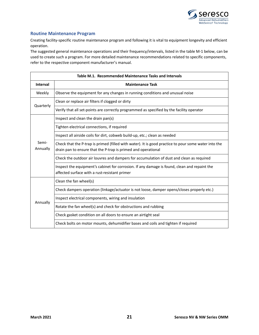

# **Routine Maintenance Program**

Creating facility-specific routine maintenance program and following it is vital to equipment longevity and efficient operation.

The suggested general maintenance operations and their frequency/intervals, listed in the table M-1 below, can be used to create such a program. For more detailed maintenance recommendations related to specific components, refer to the respective component manufacturer's manual.

| Table M.1. Recommended Maintenance Tasks and Intervals |                                                                                                                                                                       |  |
|--------------------------------------------------------|-----------------------------------------------------------------------------------------------------------------------------------------------------------------------|--|
| <b>Interval</b>                                        | <b>Maintenance Task</b>                                                                                                                                               |  |
| Weekly                                                 | Observe the equipment for any changes in running conditions and unusual noise                                                                                         |  |
| Quarterly                                              | Clean or replace air filters if clogged or dirty                                                                                                                      |  |
|                                                        | Verify that all set-points are correctly programmed as specified by the facility operator                                                                             |  |
| Semi-<br>Annually                                      | Inspect and clean the drain pan(s)                                                                                                                                    |  |
|                                                        | Tighten electrical connections, if required                                                                                                                           |  |
|                                                        | Inspect all airside coils for dirt, cobweb build-up, etc.; clean as needed                                                                                            |  |
|                                                        | Check that the P-trap is primed (filled with water). It is good practice to pour some water into the<br>drain pan to ensure that the P-trap is primed and operational |  |
|                                                        | Check the outdoor air louvres and dampers for accumulation of dust and clean as required                                                                              |  |
|                                                        |                                                                                                                                                                       |  |
|                                                        | Inspect the equipment's cabinet for corrosion. If any damage is found, clean and repaint the<br>affected surface with a rust-resistant primer                         |  |
| Annually                                               | Clean the fan wheel(s)                                                                                                                                                |  |
|                                                        | Check dampers operation (linkage/actuator is not loose, damper opens/closes properly etc.)                                                                            |  |
|                                                        | Inspect electrical components, wiring and insulation                                                                                                                  |  |
|                                                        | Rotate the fan wheel(s) and check for obstructions and rubbing                                                                                                        |  |
|                                                        | Check gasket condition on all doors to ensure an airtight seal                                                                                                        |  |
|                                                        | Check bolts on motor mounts, dehumidifier bases and coils and tighten if required                                                                                     |  |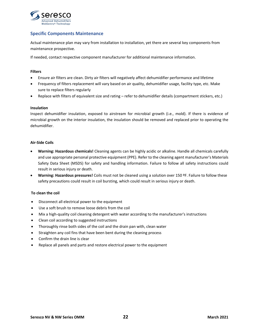

# **Specific Components Maintenance**

Actual maintenance plan may vary from installation to installation, yet there are several key components from maintenance prospective.

If needed, contact respective component manufacturer for additional maintenance information.

#### **Filters**

- Ensure air filters are clean. Dirty air filters will negatively affect dehumidifier performance and lifetime
- Frequency of filters replacement will vary based on air quality, dehumidifier usage, facility type, etc. Make sure to replace filters regularly
- Replace with filters of equivalent size and rating refer to dehumidifier details (compartment stickers, etc.)

#### **Insulation**

Inspect dehumidifier insulation, exposed to airstream for microbial growth (i.e., mold). If there is evidence of microbial growth on the interior insulation, the insulation should be removed and replaced prior to operating the dehumidifier.

#### **Air-Side Coils**

- **Warning: Hazardous chemicals!** Cleaning agents can be highly acidic or alkaline. Handle all chemicals carefully and use appropriate personal protective equipment (PPE). Refer to the cleaning agent manufacturer's Materials Safety Data Sheet (MSDS) for safety and handling information. Failure to follow all safety instructions could result in serious injury or death.
- **Warning: Hazardous pressures!** Coils must not be cleaned using a solution over 150 ºF. Failure to follow these safety precautions could result in coil bursting, which could result in serious injury or death.

# **To clean the coil**

- Disconnect all electrical power to the equipment
- Use a soft brush to remove loose debris from the coil
- Mix a high-quality coil cleaning detergent with water according to the manufacturer's instructions
- Clean coil according to suggested instructions
- Thoroughly rinse both sides of the coil and the drain pan with, clean water
- Straighten any coil fins that have been bent during the cleaning process
- Confirm the drain line is clear
- Replace all panels and parts and restore electrical power to the equipment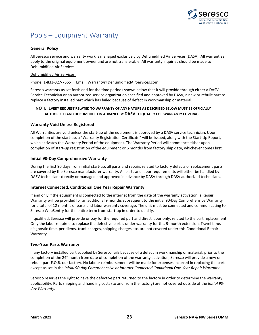

# Pools – Equipment Warranty

# **General Policy**

All Seresco service and warranty work is managed exclusively by Dehumidified Air Services (DASV). All warranties apply to the original equipment owner and are not transferable. All warranty inquiries should be made to Dehumidified Air Services.

#### Dehumidified Air Services:

Phone: 1-833-327-7665 Email: Warranty@DehumidifiedAirServices.com

Seresco warrants as set forth and for the time periods shown below that it will provide through either a DASV Service Technician or an authorized service organization specified and approved by DASV, a new or rebuilt part to replace a factory installed part which has failed because of defect in workmanship or material.

# **NOTE: EVERY REQUEST RELATED TO WARRANTY OF ANY NATURE AS DESCRIBED BELOW MUST BE OFFICIALLY AUTHORIZED AND DOCUMENTED IN ADVANCE BY DASV TO QUALIFY FOR WARRANTY COVERAGE.**

# **Warranty Void Unless Registered**

All Warranties are void unless the start-up of the equipment is approved by a DASV service technician. Upon completion of the start-up, a "Warranty Registration Certificate" will be issued, along with the Start-Up Report, which activates the Warranty Period of the equipment. The Warranty Period will commence either upon completion of start-up registration of the equipment or 6 months from factory ship date, whichever comes first.

#### **Initial 90-Day Comprehensive Warranty**

During the first 90 days from initial start-up, all parts and repairs related to factory defects or replacement parts are covered by the Seresco manufacturer warranty. All parts and labor requirements will either be handled by DASV technicians directly or managed and approved in advance by DASV through DASV authorized technicians.

# **Internet Connected, Conditional One Year Repair Warranty**

If and only if the equipment is connected to the internet from the date of the warranty activation, a Repair Warranty will be provided for an additional 9 months subsequent to the initial 90-Day Comprehensive Warranty for a total of 12 months of parts and labor warranty coverage. The unit must be connected and communicating to Seresco WebSentry for the entire term from start-up in order to qualify.

If qualified, Seresco will provide or pay for the required part and direct labor only, related to the part replacement. Only the labor required to replace the defective part is under warranty for this 9-month extension. Travel time, diagnostic time, per diems, truck charges, shipping charges etc. are not covered under this Conditional Repair Warranty.

# **Two-Year Parts Warranty**

If any factory installed part supplied by Seresco fails because of a defect in workmanship or material, prior to the completion of the 24<sup>th</sup> month from date of completion of the warranty activation, Seresco will provide a new or rebuilt part F.O.B. our factory. No labour reimbursement will be made for expenses incurred in replacing the part except as set in the *Initial 90‐day Comprehensive or Internet Connected Conditional One-Year Repair Warranty*.

Seresco reserves the right to have the defective part returned to the factory in order to determine the warranty applicability. Parts shipping and handling costs (to and from the factory) are not covered outside of the *Initial 90‐ day Warranty*.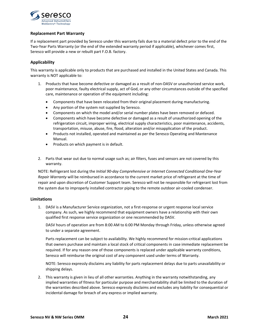

# **Replacement Part Warranty**

If a replacement part provided by Seresco under this warranty fails due to a material defect prior to the end of the Two-Year Parts Warranty (or the end of the extended warranty period if applicable), whichever comes first, Seresco will provide a new or rebuilt part F.O.B. factory.

# **Applicability**

This warranty is applicable only to products that are purchased and installed in the United States and Canada. This warranty is NOT applicable to:

- 1. Products that have become defective or damaged as a result of non-DASV or unauthorized service work, poor maintenance, faulty electrical supply, act of God, or any other circumstances outside of the specified care, maintenance or operation of the equipment including:
	- Components that have been relocated from their original placement during manufacturing.
	- Any portion of the system not supplied by Seresco.
	- Components on which the model and/or serial number plates have been removed or defaced.
	- Components which have become defective or damaged as a result of unauthorized opening of the refrigeration circuit, improper wiring, electrical supply characteristics, poor maintenance, accidents, transportation, misuse, abuse, fire, flood, alteration and/or misapplication of the product.
	- Products not installed, operated and maintained as per the Seresco Operating and Mantenance Manual.
	- Products on which payment is in default.
- 2. Parts that wear out due to normal usage such as; air filters, fuses and sensors are not covered by this warranty.

NOTE: Refrigerant lost during the *Initial 90‐day Comprehensive or Internet Connected Conditional One-Year Repair Warranty* will be reimbursed in accordance to the current market price of refrigerant at the time of repair and upon discretion of Customer Support team. Seresco will not be responsible for refrigerant lost from the system due to improperly installed contractor piping to the remote outdoor air-cooled condenser.

# **Limitations**

1. DASV is a Manufacturer Service organization, not a first-response or urgent response local service company. As such, we highly recommend that equipment owners have a relationship with their own qualified first response service organization or one recommended by DASV.

DASV hours of operation are from 8:00 AM to 6:00 PM Monday through Friday, unless otherwise agreed to under a separate agreement.

Parts replacement can be subject to availability. We highly recommend for mission-critical applications that owners purchase and maintain a local stock of critical components in case immediate replacement be required. If for any reason one of those components is replaced under applicable warranty conditions, Seresco will reimburse the original cost of any component used under terms of Warranty.

NOTE: Seresco expressly disclaims any liability for parts replacement delays due to parts unavailability or shipping delays.

2. This warranty is given in lieu of all other warranties. Anything in the warranty notwithstanding, any implied warranties of fitness for particular purpose and merchantability shall be limited to the duration of the warranties described above. Seresco expressly disclaims and excludes any liability for consequential or incidental damage for breach of any express or implied warranty.